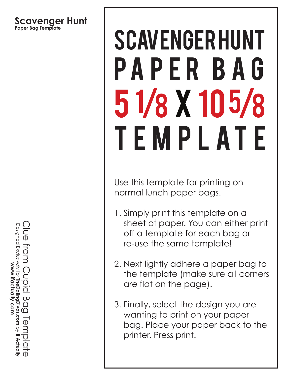#### **Scavenger Hunt Paper Bag Template**

# scavenger hunt pa p e r b a g 5 1/8 x 10 5/8 TEMPLATE

Use this template for printing on normal lunch paper bags.

- 1. Simply print this template on a sheet of paper. You can either print off a template for each bag or re-use the same template!
- 2. Next lightly adhere a paper bag to the template (make sure all corners are flat on the page).
- 3. Finally, select the design you are wanting to print on your paper bag. Place your paper back to the printer. Press print.

Clue from Cupid Bag Template Designed Exclusively for TheDatingDivas.com by If Actually Designed Exclusively for www.ifactually.com **TheDatingDivas.com** $\overline{\mathbf{C}}$ Ō<br>Q  **If Actually**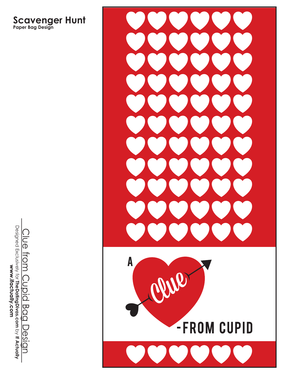**Scavenger Hunt Paper Bag Design**



Designed Exclusively for **TheDatingDivas.com** by **If Actually**<br>WWW.**ifactually.com** Designed Exclusively for Clue from Cupid Bag Design Clue from Cupid Bag Design **TheDatingDivas.com If Actually**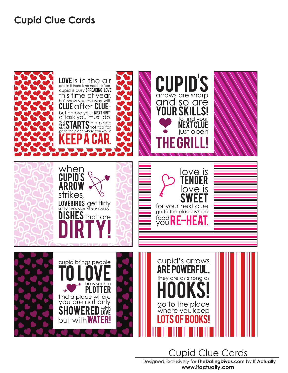#### **Cupid Clue Cards**



Designed Exclusively for **TheDatingDivas.com** by **If Actually** www.ifactually.com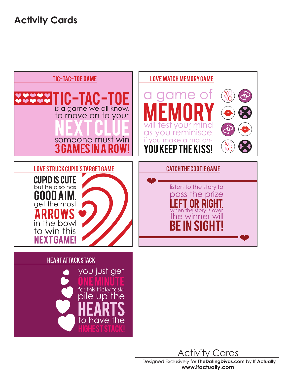**Activity Cards**



Designed Exclusively for **TheDatingDivas.com** by **If Actually**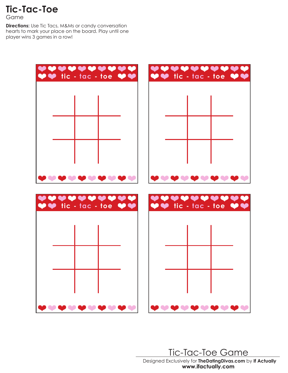**Tic-Tac-Toe**

Game

**Directions:** Use Tic Tacs, M&Ms or candy conversation hearts to mark your place on the board. Play until one player wins 3 games in a row!



Designed Exclusively for **TheDatingDivas.com** by **If Actually** Tic-Tac-Toe Game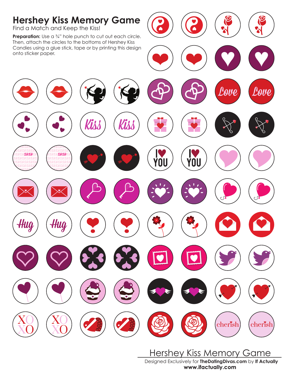

Designed Exclusively for **TheDatingDivas.com** by **If Actually** Hershey Kiss Memory Game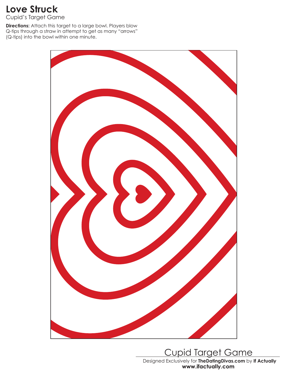### **Love Struck**

Cupid's Target Game

**Directions:** Attach this target to a large bowl. Players blow Q-tips through a straw in attempt to get as many "arrows" (Q-tips) into the bowl within one minute.



Designed Exclusively for **TheDatingDivas.com** by **If Actually** Cupid Target Game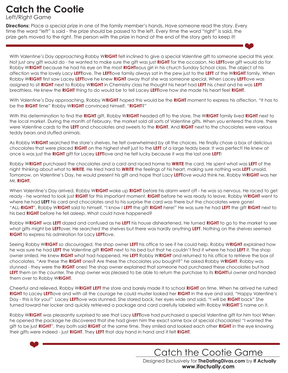## **Catch the Cootie**

Left/Right Game

**Directions:** Place a special prize in one of the family member's hands. Have someone read the story. Every time the word "left" is said - the prize should be passed to the left. Every time the word "right" is said, the prize gets moved to the right. The person with the prize in hand at the end of the story gets to keep it!

With Valentine's Day approaching Robby W**RIGHT** felt inclined to give a special Valentine gift to someone special this year. Not just any gift would do - he wanted to make sure the gift was just **RIGHT** for the occasion. No **LEFT**over gift would do for Robby W**RIGHT** because he had his eye on the most **RIGHT**eous girl in his church Sunday School class. The object of his affection was the lovely Lacy **LEFT**love. The **LEFT**love family always sat in the pew just to the **LEFT** of the W**RIGHT** family. When Robby W**RIGHT** first saw Lacey **LEFT**love he knew **RIGHT** away that she was someone special. When Lacey **LEFT**love was assigned to sit **RIGHT** next to Robby W**RIGHT** in Chemistry class he thought his heart had **LEFT** his chest and he was **LEFT**  breathless. He knew the **RIGHT** thing to do would be to tell Lacey **LEFT**love how she made his heart feel **RIGHT**.

With Valentine's Day approaching, Robby W**RIGHT** hoped this would be the **RIGHT** moment to express his affection. "It has to be the **RIGHT** time" Robby W**RIGHT** convinced himself. "**RIGHT**?"

With this determination to find the **RIGHT** gift, Robby W**RIGHT** headed off to the store. The W**RIGHT** family lived **RIGHT** next to the local market. During the month of February, the market sold all sorts of Valentine gifts. When you entered the store, there were Valentine cards to the **LEFT** and chocolates and sweets to the **RIGHT**. And **RIGHT** next to the chocolates were various teddy bears and stuffed animals.

As Robby W**RIGHT** searched the store's shelves, he felt overwhelmed by all the choices. He finally chose a box of delicious chocolates that were placed **RIGHT** on the highest shelf just to the **LEFT** of a large teddy bear. It was perfect! He knew at once is was just the **RIGHT** gift for Lacey **LEFT**love and he felt lucky because it was the last one **LEFT**!

Robby W**RIGHT** purchased the chocolates and a card and raced home to **WRITE** the card. He spent what was **LEFT** of the night thinking about what to **WRITE**. He tried hard to **WRITE** the feelings of his heart, making sure nothing was **LEFT** unsaid. Tomorrow, on Valentine's Day, he would present his gift and hope that Lacy **LEFT**love would think he, Robby W**RIGHT** was her Mr. **RIGHT**.

When Valentine's Day arrived, Robby W**RIGHT** woke up **RIGHT** before his alarm went off - he was so nervous. He raced to get ready - he wanted to look just **RIGHT** for this important moment. **RIGHT** before he was ready to leave, Robby W**RIGHT** went to where he had LEFT his card and chocolates and to his surprise the card was there but the chocolates were gone! "ALL-**RIGHT**", Robby W**RIGHT** said to himself, "I know I **LEFT** the gift **RIGHT** here!" He was sure he had **LEFT** the gift **RIGHT** next to his bed **RIGHT** before he fell asleep. What could have happened?

Robby W**RIGHT** was **LEFT** dazed and confused as he **LEFT** his house disheartened. He turned **RIGHT** to go to the market to see what gifts might be **LEFT**over. He searched the shelves but there was hardly anything **LEFT**. Nothing on the shelves seemed **RIGHT** to express his admiration for Lacy **LEFT**love.

Seeing Robby W**RIGHT** so discouraged, the shop owner **LEFT** his office to see if he could help. Robby W**RIGHT** explained how he was sure he had **LEFT** the Valentine gift **RIGHT** next to his bed but that he couldn't find it where he had **LEFT** it. The shop owner smiled. He knew **RIGHT** what had happened. He **LEFT** Robby W**RIGHT** and returned to his office to retrieve the box of chocolates. "Are these the **RIGHT** ones? Are these the chocolates you bought?" he asked Robby W**RIGHT**. Robby was stunned - they were the **RIGHT** ones! The shop owner explained that someone had purchased these chocolates but had **LEFT** them on the counter. The shop owner was pleased to be able to return the purchase to its **RIGHT**ful owner and handed them over to Robby W**RIGHT**.

Cheerful and relieved, Robby W**RIGHT LEFT** the store and barely made it to school **RIGHT** on time. When he arrived he rushed **RIGHT** to Lacey **LEFT**love and with all the courage he could muster looked her **RIGHT** in the eye and said, "Happy Valentine's Day - this is for you!" Lacey **LEFT**love was stunned. She stared back, her eyes wide and said, "I will be **RIGHT** back" She turned toward her locker and quickly retrieved a package and card carefully labeled with Robby W**RIGHT**'S name on it.

Robby W**RIGHT** was pleasantly surprised to see that Lacy **LEFT**love had purchased a special Valentine gift for him too! When he opened the package he discovered that she had given him the exact same box of special chocolates! "I wanted the gift to be just **RIGHT**", they both said **RIGHT** at the same time. They smiled and looked each other **RIGHT** in the eye knowing their gifts were indeed - just **RIGHT**. They **LEFT** that day hand in hand and it felt **RIGHT**.

Designed Exclusively for **TheDatingDivas.com** by **If Actually** Catch the Cootie Game